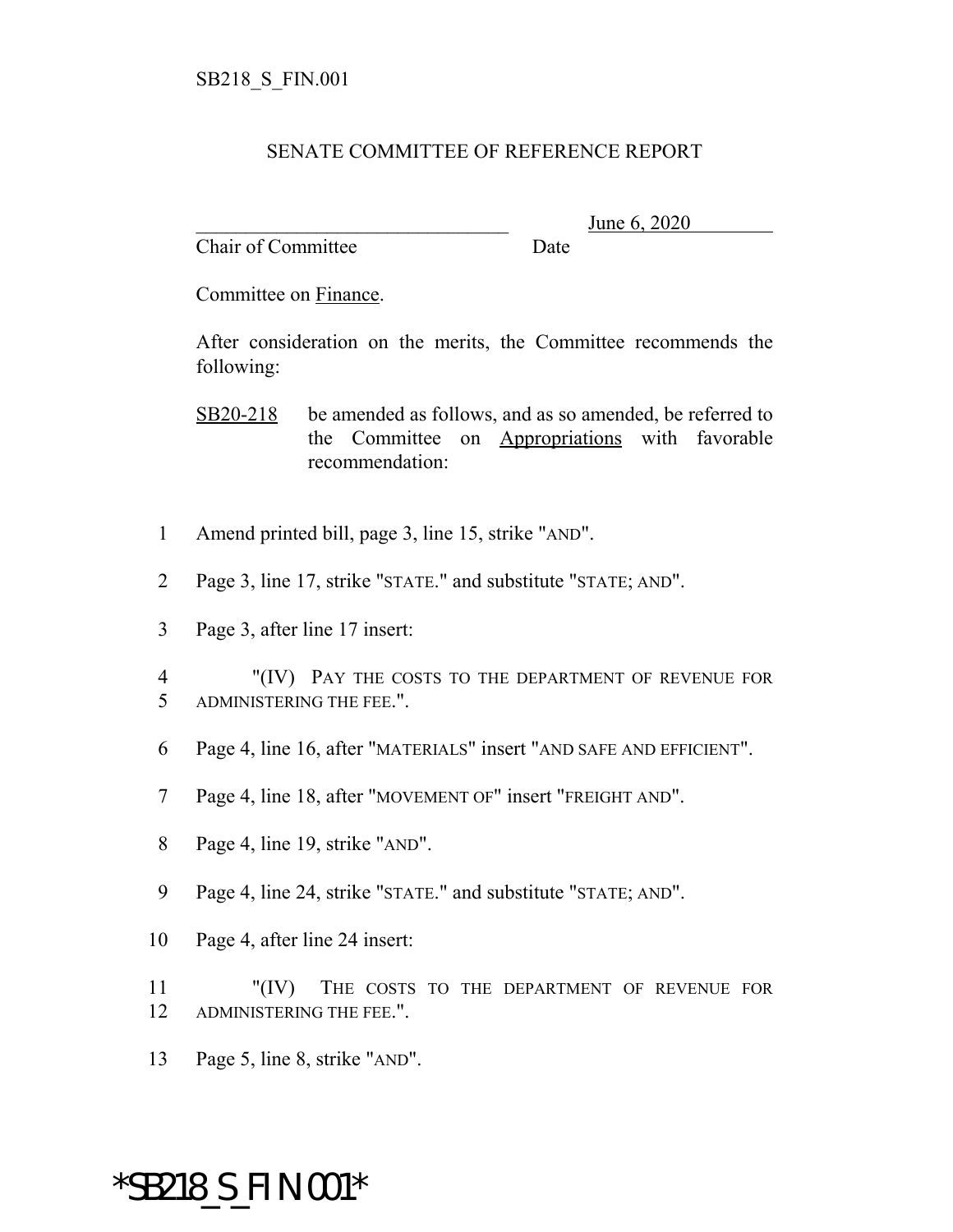## SENATE COMMITTEE OF REFERENCE REPORT

Chair of Committee Date

June 6, 2020

Committee on Finance.

After consideration on the merits, the Committee recommends the following:

SB20-218 be amended as follows, and as so amended, be referred to the Committee on Appropriations with favorable recommendation:

- 1 Amend printed bill, page 3, line 15, strike "AND".
- 2 Page 3, line 17, strike "STATE." and substitute "STATE; AND".
- 3 Page 3, after line 17 insert:
- 4 "(IV) PAY THE COSTS TO THE DEPARTMENT OF REVENUE FOR 5 ADMINISTERING THE FEE.".
- 6 Page 4, line 16, after "MATERIALS" insert "AND SAFE AND EFFICIENT".
- 7 Page 4, line 18, after "MOVEMENT OF" insert "FREIGHT AND".
- 8 Page 4, line 19, strike "AND".
- 9 Page 4, line 24, strike "STATE." and substitute "STATE; AND".
- 10 Page 4, after line 24 insert:
- 11 "(IV) THE COSTS TO THE DEPARTMENT OF REVENUE FOR 12 ADMINISTERING THE FEE.".
- 13 Page 5, line 8, strike "AND".

## \*SB218\_S\_FIN.001\*